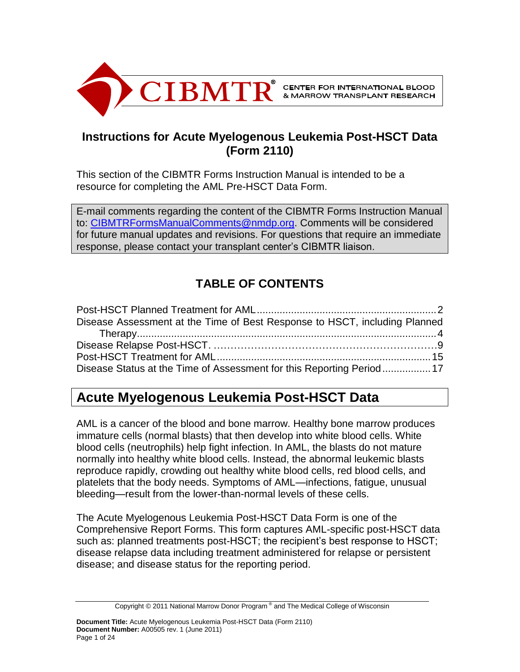

# **Instructions for Acute Myelogenous Leukemia Post-HSCT Data (Form 2110)**

This section of the CIBMTR Forms Instruction Manual is intended to be a resource for completing the AML Pre-HSCT Data Form.

E-mail comments regarding the content of the CIBMTR Forms Instruction Manual to: [CIBMTRFormsManualComments@nmdp.org.](mailto:CIBMTRFormsManualComments@nmdp.org) Comments will be considered for future manual updates and revisions. For questions that require an immediate response, please contact your transplant center's CIBMTR liaison.

# **TABLE OF CONTENTS**

| Disease Assessment at the Time of Best Response to HSCT, including Planned |  |
|----------------------------------------------------------------------------|--|
|                                                                            |  |
|                                                                            |  |
|                                                                            |  |
| Disease Status at the Time of Assessment for this Reporting Period17       |  |

# **Acute Myelogenous Leukemia Post-HSCT Data**

AML is a [cancer](http://en.wikipedia.org/wiki/Cancer) of the blood and bone marrow. Healthy bone marrow produces immature cells (normal blasts) that then develop into white blood cells. White blood cells (neutrophils) help fight infection. In AML, the blasts do not mature normally into healthy white blood cells. Instead, the abnormal leukemic blasts reproduce rapidly, crowding out healthy white blood cells, red blood cells, and platelets that the body needs. Symptoms of AML—infections, fatigue, unusual bleeding—result from the lower-than-normal levels of these cells.

The Acute Myelogenous Leukemia Post-HSCT Data Form is one of the Comprehensive Report Forms. This form captures AML-specific post-HSCT data such as: planned treatments post-HSCT; the recipient's best response to HSCT; disease relapse data including treatment administered for relapse or persistent disease; and disease status for the reporting period.

Copyright © 2011 National Marrow Donor Program® and The Medical College of Wisconsin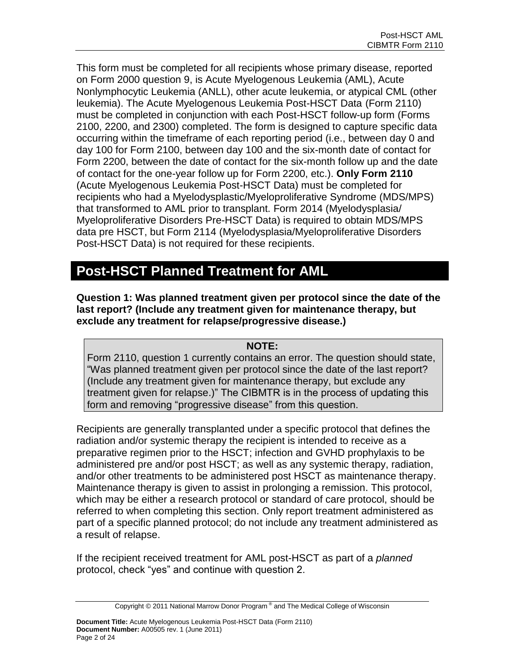This form must be completed for all recipients whose primary disease, reported on Form 2000 question 9, is Acute Myelogenous Leukemia (AML), Acute Nonlymphocytic Leukemia (ANLL), other acute leukemia, or atypical CML (other leukemia). The Acute Myelogenous Leukemia Post-HSCT Data (Form 2110) must be completed in conjunction with each Post-HSCT follow-up form (Forms 2100, 2200, and 2300) completed. The form is designed to capture specific data occurring within the timeframe of each reporting period (i.e., between day 0 and day 100 for Form 2100, between day 100 and the six-month date of contact for Form 2200, between the date of contact for the six-month follow up and the date of contact for the one-year follow up for Form 2200, etc.). **Only Form 2110** (Acute Myelogenous Leukemia Post-HSCT Data) must be completed for recipients who had a Myelodysplastic/Myeloproliferative Syndrome (MDS/MPS) that transformed to AML prior to transplant. Form 2014 (Myelodysplasia/ Myeloproliferative Disorders Pre-HSCT Data) is required to obtain MDS/MPS data pre HSCT, but Form 2114 (Myelodysplasia/Myeloproliferative Disorders Post-HSCT Data) is not required for these recipients.

# **Post-HSCT Planned Treatment for AML**

**Question 1: Was planned treatment given per protocol since the date of the last report? (Include any treatment given for maintenance therapy, but exclude any treatment for relapse/progressive disease.)**

# **NOTE:**

Form 2110, question 1 currently contains an error. The question should state, "Was planned treatment given per protocol since the date of the last report? (Include any treatment given for maintenance therapy, but exclude any treatment given for relapse.)" The CIBMTR is in the process of updating this form and removing "progressive disease" from this question.

Recipients are generally transplanted under a specific protocol that defines the radiation and/or systemic therapy the recipient is intended to receive as a preparative regimen prior to the HSCT; infection and GVHD prophylaxis to be administered pre and/or post HSCT; as well as any systemic therapy, radiation, and/or other treatments to be administered post HSCT as maintenance therapy. Maintenance therapy is given to assist in prolonging a remission. This protocol, which may be either a research protocol or standard of care protocol, should be referred to when completing this section. Only report treatment administered as part of a specific planned protocol; do not include any treatment administered as a result of relapse.

If the recipient received treatment for AML post-HSCT as part of a *planned* protocol, check "yes" and continue with question 2.

Copyright © 2011 National Marrow Donor Program® and The Medical College of Wisconsin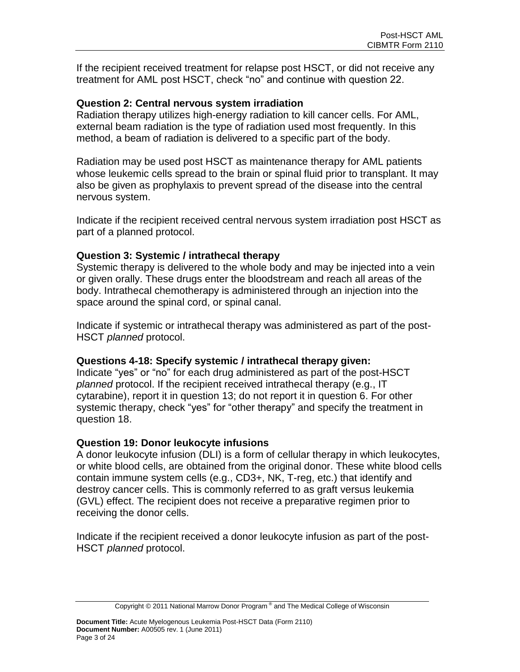If the recipient received treatment for relapse post HSCT, or did not receive any treatment for AML post HSCT, check "no" and continue with question 22.

## **Question 2: Central nervous system irradiation**

Radiation therapy utilizes high-energy radiation to kill cancer cells. For AML, external beam radiation is the type of radiation used most frequently. In this method, a beam of radiation is delivered to a specific part of the body.

Radiation may be used post HSCT as maintenance therapy for AML patients whose leukemic cells spread to the brain or spinal fluid prior to transplant. It may also be given as prophylaxis to prevent spread of the disease into the central nervous system.

Indicate if the recipient received central nervous system irradiation post HSCT as part of a planned protocol.

## **Question 3: Systemic / intrathecal therapy**

Systemic therapy is delivered to the whole body and may be injected into a vein or given orally. These drugs enter the bloodstream and reach all areas of the body. Intrathecal chemotherapy is administered through an injection into the space around the spinal cord, or spinal canal.

Indicate if systemic or intrathecal therapy was administered as part of the post-HSCT *planned* protocol.

## **Questions 4-18: Specify systemic / intrathecal therapy given:**

Indicate "yes" or "no" for each drug administered as part of the post-HSCT *planned* protocol. If the recipient received intrathecal therapy (e.g., IT cytarabine), report it in question 13; do not report it in question 6. For other systemic therapy, check "yes" for "other therapy" and specify the treatment in question 18.

## **Question 19: Donor leukocyte infusions**

A donor leukocyte infusion (DLI) is a form of cellular therapy in which leukocytes, or white blood cells, are obtained from the original donor. These white blood cells contain immune system cells (e.g., CD3+, NK, T-reg, etc.) that identify and destroy cancer cells. This is commonly referred to as graft versus leukemia (GVL) effect. The recipient does not receive a preparative regimen prior to receiving the donor cells.

Indicate if the recipient received a donor leukocyte infusion as part of the post-HSCT *planned* protocol.

Copyright © 2011 National Marrow Donor Program® and The Medical College of Wisconsin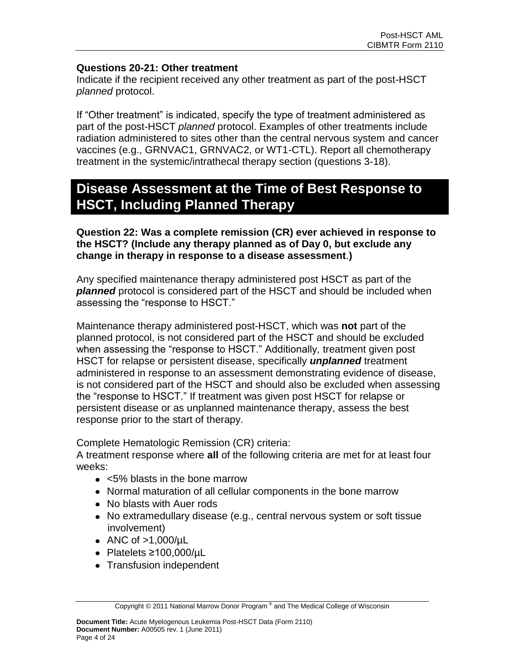## **Questions 20-21: Other treatment**

Indicate if the recipient received any other treatment as part of the post-HSCT *planned* protocol.

If "Other treatment" is indicated, specify the type of treatment administered as part of the post-HSCT *planned* protocol. Examples of other treatments include radiation administered to sites other than the central nervous system and cancer vaccines (e.g., GRNVAC1, GRNVAC2, or WT1-CTL). Report all chemotherapy treatment in the systemic/intrathecal therapy section (questions 3-18).

# **Disease Assessment at the Time of Best Response to HSCT, Including Planned Therapy**

## **Question 22: Was a complete remission (CR) ever achieved in response to the HSCT? (Include any therapy planned as of Day 0, but exclude any change in therapy in response to a disease assessment**.**)**

Any specified maintenance therapy administered post HSCT as part of the *planned* protocol is considered part of the HSCT and should be included when assessing the "response to HSCT."

Maintenance therapy administered post-HSCT, which was **not** part of the planned protocol, is not considered part of the HSCT and should be excluded when assessing the "response to HSCT." Additionally, treatment given post HSCT for relapse or persistent disease, specifically *unplanned* treatment administered in response to an assessment demonstrating evidence of disease, is not considered part of the HSCT and should also be excluded when assessing the "response to HSCT." If treatment was given post HSCT for relapse or persistent disease or as unplanned maintenance therapy, assess the best response prior to the start of therapy.

Complete Hematologic Remission (CR) criteria:

A treatment response where **all** of the following criteria are met for at least four weeks:

- <5% blasts in the bone marrow
- Normal maturation of all cellular components in the bone marrow
- No blasts with Auer rods
- No extramedullary disease (e.g., central nervous system or soft tissue involvement)
- ANC of  $>1,000/\mu L$
- Platelets ≥100,000/µL
- Transfusion independent

Copyright © 2011 National Marrow Donor Program® and The Medical College of Wisconsin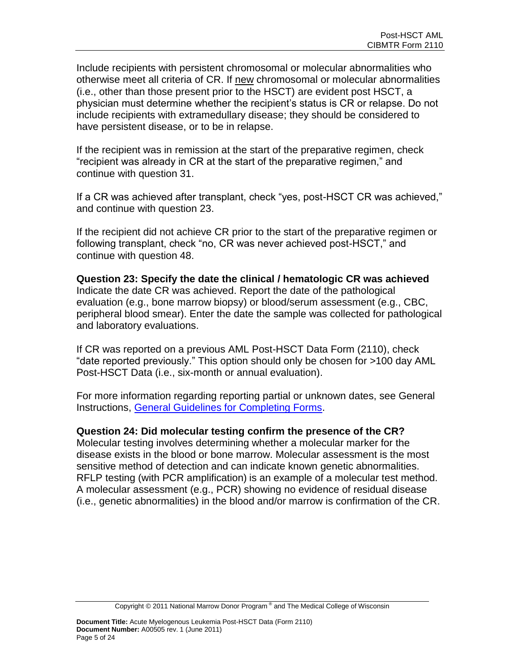Include recipients with persistent chromosomal or molecular abnormalities who otherwise meet all criteria of CR. If new chromosomal or molecular abnormalities (i.e., other than those present prior to the HSCT) are evident post HSCT, a physician must determine whether the recipient's status is CR or relapse. Do not include recipients with extramedullary disease; they should be considered to have persistent disease, or to be in relapse.

If the recipient was in remission at the start of the preparative regimen, check "recipient was already in CR at the start of the preparative regimen," and continue with question 31.

If a CR was achieved after transplant, check "yes, post-HSCT CR was achieved," and continue with question 23.

If the recipient did not achieve CR prior to the start of the preparative regimen or following transplant, check "no, CR was never achieved post-HSCT," and continue with question 48.

**Question 23: Specify the date the clinical / hematologic CR was achieved** Indicate the date CR was achieved. Report the date of the pathological evaluation (e.g., bone marrow biopsy) or blood/serum assessment (e.g., CBC, peripheral blood smear). Enter the date the sample was collected for pathological and laboratory evaluations.

If CR was reported on a previous AML Post-HSCT Data Form (2110), check "date reported previously." This option should only be chosen for >100 day AML Post-HSCT Data (i.e., six-month or annual evaluation).

For more information regarding reporting partial or unknown dates, see General Instructions, [General Guidelines for Completing Forms.](http://www.cibmtr.org/DataManagement/TrainingReference/Manuals/DataManagement/Documents/section14.pdf)

## **Question 24: Did molecular testing confirm the presence of the CR?**

Molecular testing involves determining whether a molecular marker for the disease exists in the blood or bone marrow. Molecular assessment is the most sensitive method of detection and can indicate known genetic abnormalities. RFLP testing (with PCR amplification) is an example of a molecular test method. A molecular assessment (e.g., PCR) showing no evidence of residual disease (i.e., genetic abnormalities) in the blood and/or marrow is confirmation of the CR.

Copyright © 2011 National Marrow Donor Program® and The Medical College of Wisconsin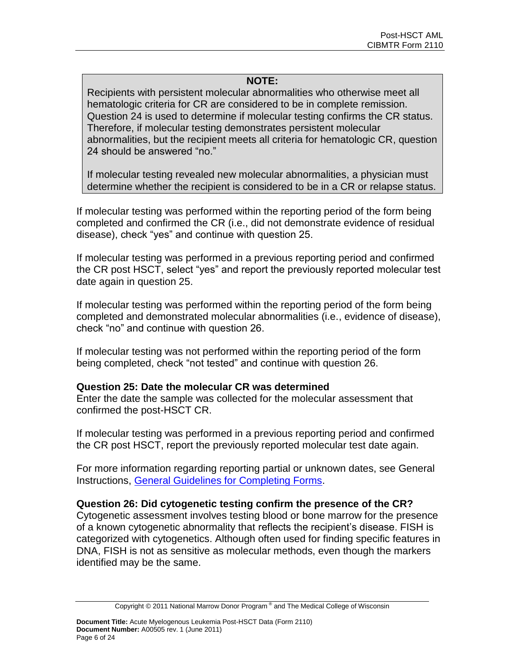## **NOTE:**

Recipients with persistent molecular abnormalities who otherwise meet all hematologic criteria for CR are considered to be in complete remission. Question 24 is used to determine if molecular testing confirms the CR status. Therefore, if molecular testing demonstrates persistent molecular abnormalities, but the recipient meets all criteria for hematologic CR, question 24 should be answered "no."

If molecular testing revealed new molecular abnormalities, a physician must determine whether the recipient is considered to be in a CR or relapse status.

If molecular testing was performed within the reporting period of the form being completed and confirmed the CR (i.e., did not demonstrate evidence of residual disease), check "yes" and continue with question 25.

If molecular testing was performed in a previous reporting period and confirmed the CR post HSCT, select "yes" and report the previously reported molecular test date again in question 25.

If molecular testing was performed within the reporting period of the form being completed and demonstrated molecular abnormalities (i.e., evidence of disease), check "no" and continue with question 26.

If molecular testing was not performed within the reporting period of the form being completed, check "not tested" and continue with question 26.

## **Question 25: Date the molecular CR was determined**

Enter the date the sample was collected for the molecular assessment that confirmed the post-HSCT CR.

If molecular testing was performed in a previous reporting period and confirmed the CR post HSCT, report the previously reported molecular test date again.

For more information regarding reporting partial or unknown dates, see General Instructions, [General Guidelines for Completing Forms.](http://www.cibmtr.org/DataManagement/TrainingReference/Manuals/DataManagement/Documents/section14.pdf)

## **Question 26: Did cytogenetic testing confirm the presence of the CR?**

Cytogenetic assessment involves testing blood or bone marrow for the presence of a known cytogenetic abnormality that reflects the recipient's disease. FISH is categorized with cytogenetics. Although often used for finding specific features in DNA, FISH is not as sensitive as molecular methods, even though the markers identified may be the same.

Copyright © 2011 National Marrow Donor Program® and The Medical College of Wisconsin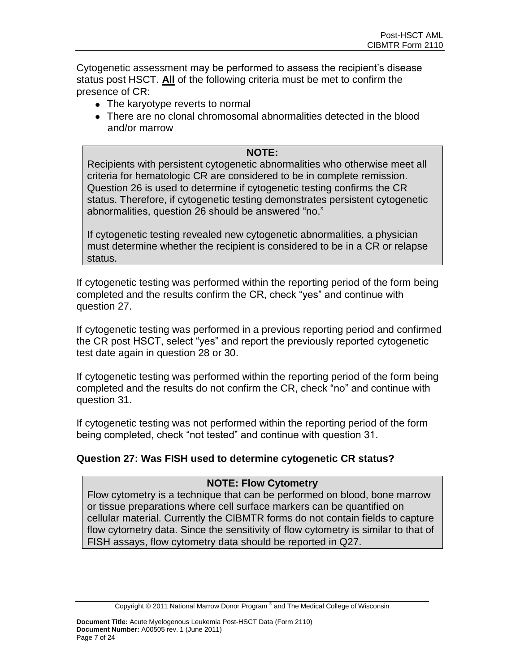Cytogenetic assessment may be performed to assess the recipient's disease status post HSCT. **All** of the following criteria must be met to confirm the presence of CR:

- The karyotype reverts to normal
- There are no clonal chromosomal abnormalities detected in the blood and/or marrow

## **NOTE:**

Recipients with persistent cytogenetic abnormalities who otherwise meet all criteria for hematologic CR are considered to be in complete remission. Question 26 is used to determine if cytogenetic testing confirms the CR status. Therefore, if cytogenetic testing demonstrates persistent cytogenetic abnormalities, question 26 should be answered "no."

If cytogenetic testing revealed new cytogenetic abnormalities, a physician must determine whether the recipient is considered to be in a CR or relapse status.

If cytogenetic testing was performed within the reporting period of the form being completed and the results confirm the CR, check "yes" and continue with question 27.

If cytogenetic testing was performed in a previous reporting period and confirmed the CR post HSCT, select "yes" and report the previously reported cytogenetic test date again in question 28 or 30.

If cytogenetic testing was performed within the reporting period of the form being completed and the results do not confirm the CR, check "no" and continue with question 31.

If cytogenetic testing was not performed within the reporting period of the form being completed, check "not tested" and continue with question 31.

# **Question 27: Was FISH used to determine cytogenetic CR status?**

# **NOTE: Flow Cytometry**

Flow cytometry is a technique that can be performed on blood, bone marrow or tissue preparations where cell surface markers can be quantified on cellular material. Currently the CIBMTR forms do not contain fields to capture flow cytometry data. Since the sensitivity of flow cytometry is similar to that of FISH assays, flow cytometry data should be reported in Q27.

Copyright © 2011 National Marrow Donor Program® and The Medical College of Wisconsin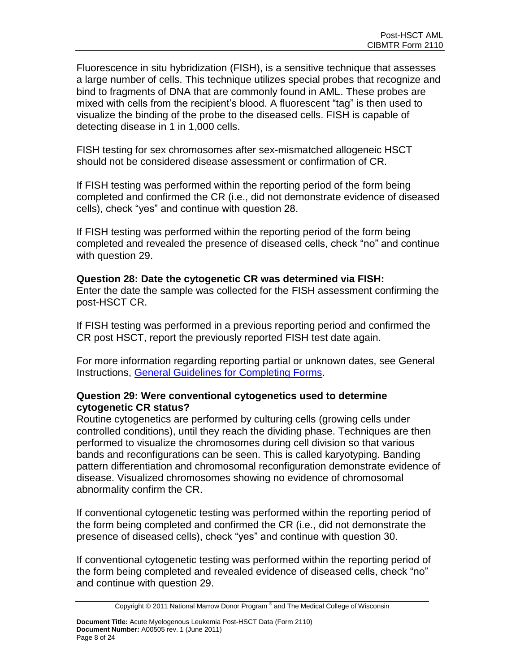Fluorescence in situ hybridization (FISH), is a sensitive technique that assesses a large number of cells. This technique utilizes special probes that recognize and bind to fragments of DNA that are commonly found in AML. These probes are mixed with cells from the recipient's blood. A fluorescent "tag" is then used to visualize the binding of the probe to the diseased cells. FISH is capable of detecting disease in 1 in 1,000 cells.

FISH testing for sex chromosomes after sex-mismatched allogeneic HSCT should not be considered disease assessment or confirmation of CR.

If FISH testing was performed within the reporting period of the form being completed and confirmed the CR (i.e., did not demonstrate evidence of diseased cells), check "yes" and continue with question 28.

If FISH testing was performed within the reporting period of the form being completed and revealed the presence of diseased cells, check "no" and continue with question 29.

## **Question 28: Date the cytogenetic CR was determined via FISH:**

Enter the date the sample was collected for the FISH assessment confirming the post-HSCT CR.

If FISH testing was performed in a previous reporting period and confirmed the CR post HSCT, report the previously reported FISH test date again.

For more information regarding reporting partial or unknown dates, see General Instructions, [General Guidelines for Completing Forms.](http://www.cibmtr.org/DataManagement/TrainingReference/Manuals/DataManagement/Documents/section14.pdf)

## **Question 29: Were conventional cytogenetics used to determine cytogenetic CR status?**

Routine cytogenetics are performed by culturing cells (growing cells under controlled conditions), until they reach the dividing phase. Techniques are then performed to visualize the chromosomes during cell division so that various bands and reconfigurations can be seen. This is called karyotyping. Banding pattern differentiation and chromosomal reconfiguration demonstrate evidence of disease. Visualized chromosomes showing no evidence of chromosomal abnormality confirm the CR.

If conventional cytogenetic testing was performed within the reporting period of the form being completed and confirmed the CR (i.e., did not demonstrate the presence of diseased cells), check "yes" and continue with question 30.

If conventional cytogenetic testing was performed within the reporting period of the form being completed and revealed evidence of diseased cells, check "no" and continue with question 29.

Copyright © 2011 National Marrow Donor Program® and The Medical College of Wisconsin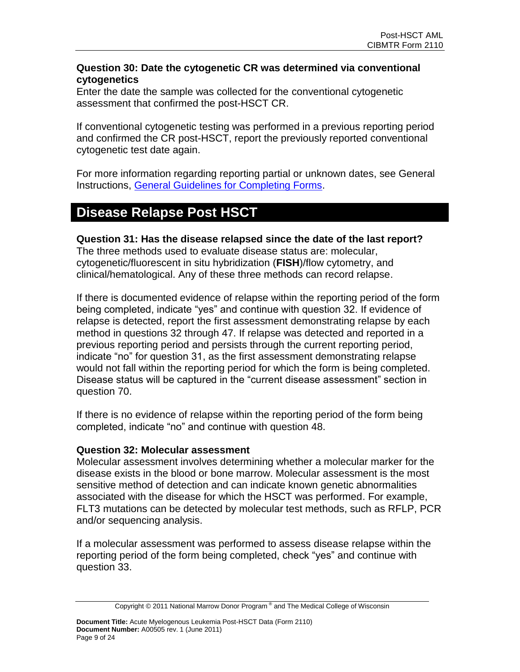## **Question 30: Date the cytogenetic CR was determined via conventional cytogenetics**

Enter the date the sample was collected for the conventional cytogenetic assessment that confirmed the post-HSCT CR.

If conventional cytogenetic testing was performed in a previous reporting period and confirmed the CR post-HSCT, report the previously reported conventional cytogenetic test date again.

For more information regarding reporting partial or unknown dates, see General Instructions, [General Guidelines for Completing Forms.](http://www.cibmtr.org/DataManagement/TrainingReference/Manuals/DataManagement/Documents/section14.pdf)

# **Disease Relapse Post HSCT**

**Question 31: Has the disease relapsed since the date of the last report?** The three methods used to evaluate disease status are: molecular, cytogenetic/fluorescent in situ hybridization (**FISH**)/flow cytometry, and clinical/hematological. Any of these three methods can record relapse.

If there is documented evidence of relapse within the reporting period of the form being completed, indicate "yes" and continue with question 32. If evidence of relapse is detected, report the first assessment demonstrating relapse by each method in questions 32 through 47. If relapse was detected and reported in a previous reporting period and persists through the current reporting period, indicate "no" for question 31, as the first assessment demonstrating relapse would not fall within the reporting period for which the form is being completed. Disease status will be captured in the "current disease assessment" section in question 70.

If there is no evidence of relapse within the reporting period of the form being completed, indicate "no" and continue with question 48.

## **Question 32: Molecular assessment**

Molecular assessment involves determining whether a molecular marker for the disease exists in the blood or bone marrow. Molecular assessment is the most sensitive method of detection and can indicate known genetic abnormalities associated with the disease for which the HSCT was performed. For example, FLT3 mutations can be detected by molecular test methods, such as RFLP, PCR and/or sequencing analysis.

If a molecular assessment was performed to assess disease relapse within the reporting period of the form being completed, check "yes" and continue with question 33.

Copyright © 2011 National Marrow Donor Program® and The Medical College of Wisconsin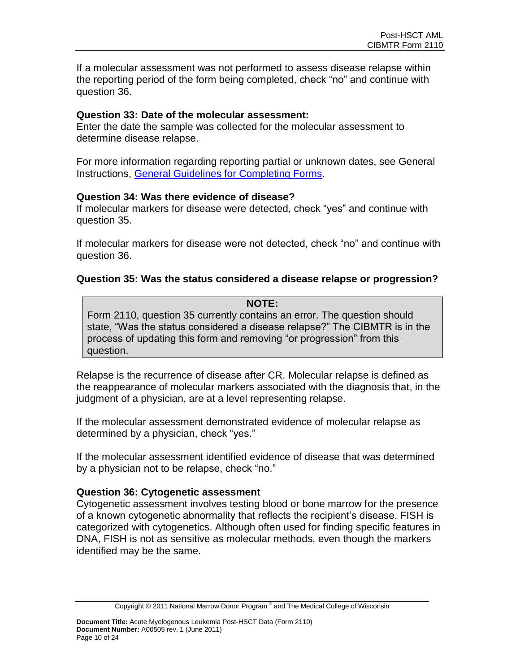If a molecular assessment was not performed to assess disease relapse within the reporting period of the form being completed, check "no" and continue with question 36.

#### **Question 33: Date of the molecular assessment:**

Enter the date the sample was collected for the molecular assessment to determine disease relapse.

For more information regarding reporting partial or unknown dates, see General Instructions, [General Guidelines for Completing Forms.](http://www.cibmtr.org/DataManagement/TrainingReference/Manuals/DataManagement/Documents/section14.pdf)

#### **Question 34: Was there evidence of disease?**

If molecular markers for disease were detected, check "yes" and continue with question 35.

If molecular markers for disease were not detected, check "no" and continue with question 36.

#### **Question 35: Was the status considered a disease relapse or progression?**

#### **NOTE:**

Form 2110, question 35 currently contains an error. The question should state, "Was the status considered a disease relapse?" The CIBMTR is in the process of updating this form and removing "or progression" from this question.

Relapse is the recurrence of disease after CR. Molecular relapse is defined as the reappearance of molecular markers associated with the diagnosis that, in the judgment of a physician, are at a level representing relapse.

If the molecular assessment demonstrated evidence of molecular relapse as determined by a physician, check "yes."

If the molecular assessment identified evidence of disease that was determined by a physician not to be relapse, check "no."

#### **Question 36: Cytogenetic assessment**

Cytogenetic assessment involves testing blood or bone marrow for the presence of a known cytogenetic abnormality that reflects the recipient's disease. FISH is categorized with cytogenetics. Although often used for finding specific features in DNA, FISH is not as sensitive as molecular methods, even though the markers identified may be the same.

Copyright © 2011 National Marrow Donor Program® and The Medical College of Wisconsin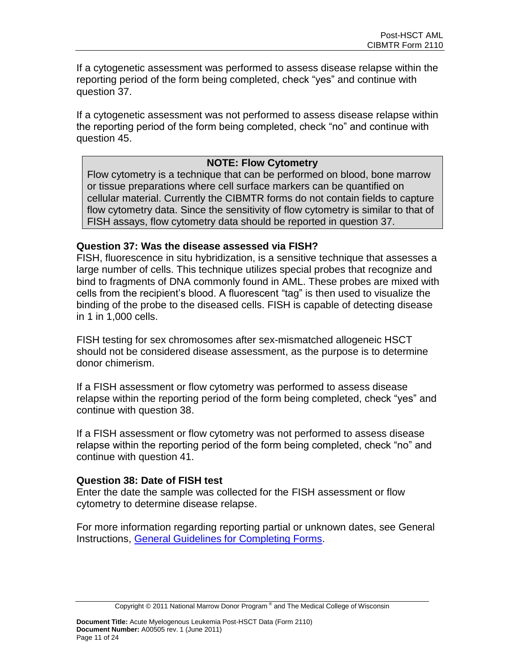If a cytogenetic assessment was performed to assess disease relapse within the reporting period of the form being completed, check "yes" and continue with question 37.

If a cytogenetic assessment was not performed to assess disease relapse within the reporting period of the form being completed, check "no" and continue with question 45.

## **NOTE: Flow Cytometry**

Flow cytometry is a technique that can be performed on blood, bone marrow or tissue preparations where cell surface markers can be quantified on cellular material. Currently the CIBMTR forms do not contain fields to capture flow cytometry data. Since the sensitivity of flow cytometry is similar to that of FISH assays, flow cytometry data should be reported in question 37.

#### **Question 37: Was the disease assessed via FISH?**

FISH, fluorescence in situ hybridization, is a sensitive technique that assesses a large number of cells. This technique utilizes special probes that recognize and bind to fragments of DNA commonly found in AML. These probes are mixed with cells from the recipient's blood. A fluorescent "tag" is then used to visualize the binding of the probe to the diseased cells. FISH is capable of detecting disease in 1 in 1,000 cells.

FISH testing for sex chromosomes after sex-mismatched allogeneic HSCT should not be considered disease assessment, as the purpose is to determine donor chimerism.

If a FISH assessment or flow cytometry was performed to assess disease relapse within the reporting period of the form being completed, check "yes" and continue with question 38.

If a FISH assessment or flow cytometry was not performed to assess disease relapse within the reporting period of the form being completed, check "no" and continue with question 41.

#### **Question 38: Date of FISH test**

Enter the date the sample was collected for the FISH assessment or flow cytometry to determine disease relapse.

For more information regarding reporting partial or unknown dates, see General Instructions, [General Guidelines for Completing Forms.](http://www.cibmtr.org/DataManagement/TrainingReference/Manuals/DataManagement/Documents/section14.pdf)

Copyright © 2011 National Marrow Donor Program® and The Medical College of Wisconsin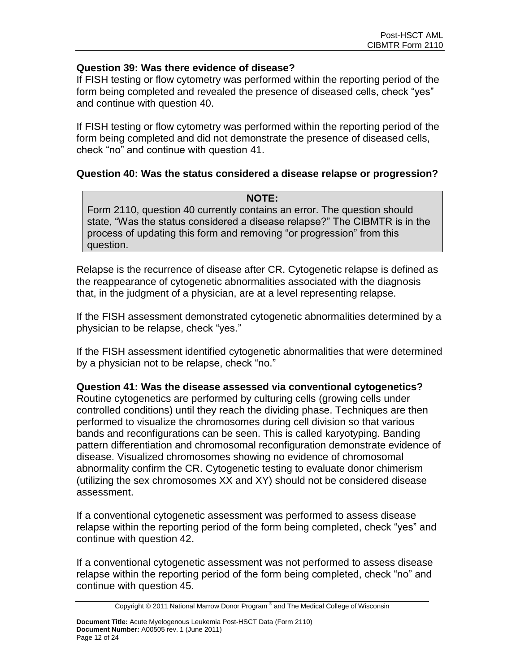## **Question 39: Was there evidence of disease?**

If FISH testing or flow cytometry was performed within the reporting period of the form being completed and revealed the presence of diseased cells, check "yes" and continue with question 40.

If FISH testing or flow cytometry was performed within the reporting period of the form being completed and did not demonstrate the presence of diseased cells, check "no" and continue with question 41.

## **Question 40: Was the status considered a disease relapse or progression?**

**NOTE:** Form 2110, question 40 currently contains an error. The question should state, "Was the status considered a disease relapse?" The CIBMTR is in the process of updating this form and removing "or progression" from this question.

Relapse is the recurrence of disease after CR. Cytogenetic relapse is defined as the reappearance of cytogenetic abnormalities associated with the diagnosis that, in the judgment of a physician, are at a level representing relapse.

If the FISH assessment demonstrated cytogenetic abnormalities determined by a physician to be relapse, check "yes."

If the FISH assessment identified cytogenetic abnormalities that were determined by a physician not to be relapse, check "no."

## **Question 41: Was the disease assessed via conventional cytogenetics?**

Routine cytogenetics are performed by culturing cells (growing cells under controlled conditions) until they reach the dividing phase. Techniques are then performed to visualize the chromosomes during cell division so that various bands and reconfigurations can be seen. This is called karyotyping. Banding pattern differentiation and chromosomal reconfiguration demonstrate evidence of disease. Visualized chromosomes showing no evidence of chromosomal abnormality confirm the CR. Cytogenetic testing to evaluate donor chimerism (utilizing the sex chromosomes XX and XY) should not be considered disease assessment.

If a conventional cytogenetic assessment was performed to assess disease relapse within the reporting period of the form being completed, check "yes" and continue with question 42.

If a conventional cytogenetic assessment was not performed to assess disease relapse within the reporting period of the form being completed, check "no" and continue with question 45.

Copyright © 2011 National Marrow Donor Program® and The Medical College of Wisconsin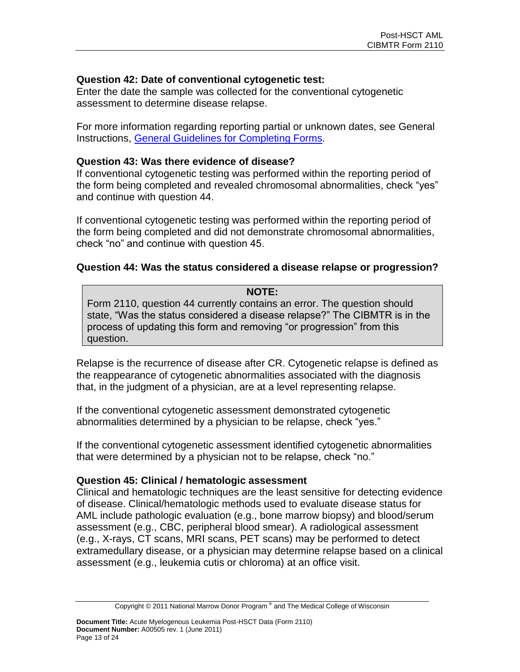## **Question 42: Date of conventional cytogenetic test:**

Enter the date the sample was collected for the conventional cytogenetic assessment to determine disease relapse.

For more information regarding reporting partial or unknown dates, see General Instructions, [General Guidelines for Completing Forms.](http://www.cibmtr.org/DataManagement/TrainingReference/Manuals/DataManagement/Documents/section14.pdf)

### **Question 43: Was there evidence of disease?**

If conventional cytogenetic testing was performed within the reporting period of the form being completed and revealed chromosomal abnormalities, check "yes" and continue with question 44.

If conventional cytogenetic testing was performed within the reporting period of the form being completed and did not demonstrate chromosomal abnormalities, check "no" and continue with question 45.

## **Question 44: Was the status considered a disease relapse or progression?**

## **NOTE:** Form 2110, question 44 currently contains an error. The question should state, "Was the status considered a disease relapse?" The CIBMTR is in the process of updating this form and removing "or progression" from this question.

Relapse is the recurrence of disease after CR. Cytogenetic relapse is defined as the reappearance of cytogenetic abnormalities associated with the diagnosis that, in the judgment of a physician, are at a level representing relapse.

If the conventional cytogenetic assessment demonstrated cytogenetic abnormalities determined by a physician to be relapse, check "yes."

If the conventional cytogenetic assessment identified cytogenetic abnormalities that were determined by a physician not to be relapse, check "no."

## **Question 45: Clinical / hematologic assessment**

Clinical and hematologic techniques are the least sensitive for detecting evidence of disease. Clinical/hematologic methods used to evaluate disease status for AML include pathologic evaluation (e.g., bone marrow biopsy) and blood/serum assessment (e.g., CBC, peripheral blood smear). A radiological assessment (e.g., X-rays, CT scans, MRI scans, PET scans) may be performed to detect extramedullary disease, or a physician may determine relapse based on a clinical assessment (e.g., leukemia cutis or chloroma) at an office visit.

Copyright © 2011 National Marrow Donor Program® and The Medical College of Wisconsin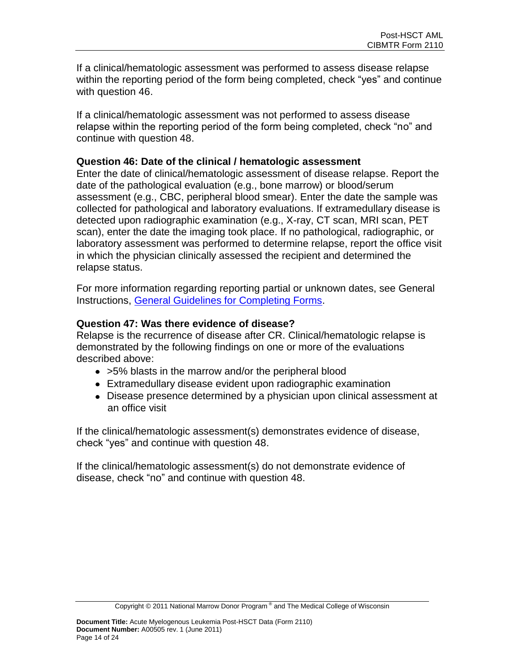If a clinical/hematologic assessment was performed to assess disease relapse within the reporting period of the form being completed, check "yes" and continue with question 46.

If a clinical/hematologic assessment was not performed to assess disease relapse within the reporting period of the form being completed, check "no" and continue with question 48.

#### **Question 46: Date of the clinical / hematologic assessment**

Enter the date of clinical/hematologic assessment of disease relapse. Report the date of the pathological evaluation (e.g., bone marrow) or blood/serum assessment (e.g., CBC, peripheral blood smear). Enter the date the sample was collected for pathological and laboratory evaluations. If extramedullary disease is detected upon radiographic examination (e.g., X-ray, CT scan, MRI scan, PET scan), enter the date the imaging took place. If no pathological, radiographic, or laboratory assessment was performed to determine relapse, report the office visit in which the physician clinically assessed the recipient and determined the relapse status.

For more information regarding reporting partial or unknown dates, see General Instructions, [General Guidelines for Completing Forms.](http://www.cibmtr.org/DataManagement/TrainingReference/Manuals/DataManagement/Documents/section14.pdf)

## **Question 47: Was there evidence of disease?**

Relapse is the recurrence of disease after CR. Clinical/hematologic relapse is demonstrated by the following findings on one or more of the evaluations described above:

- >5% blasts in the marrow and/or the peripheral blood
- Extramedullary disease evident upon radiographic examination
- Disease presence determined by a physician upon clinical assessment at an office visit

If the clinical/hematologic assessment(s) demonstrates evidence of disease, check "yes" and continue with question 48.

If the clinical/hematologic assessment(s) do not demonstrate evidence of disease, check "no" and continue with question 48.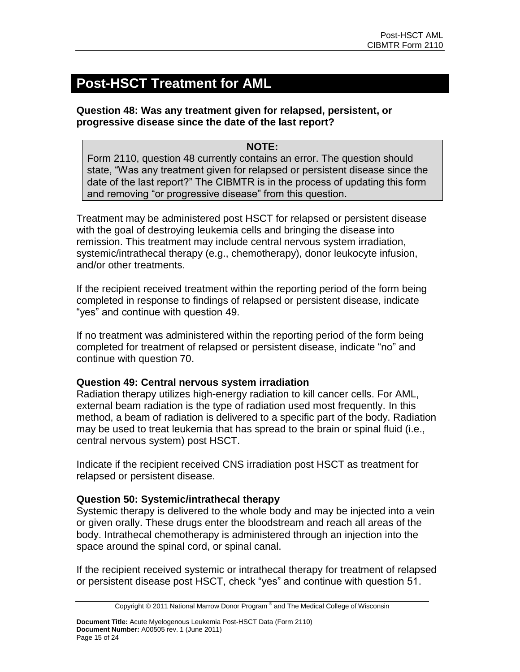# **Post-HSCT Treatment for AML**

**Question 48: Was any treatment given for relapsed, persistent, or progressive disease since the date of the last report?**

## **NOTE:**

Form 2110, question 48 currently contains an error. The question should state, "Was any treatment given for relapsed or persistent disease since the date of the last report?" The CIBMTR is in the process of updating this form and removing "or progressive disease" from this question.

Treatment may be administered post HSCT for relapsed or persistent disease with the goal of destroying leukemia cells and bringing the disease into remission. This treatment may include central nervous system irradiation, systemic/intrathecal therapy (e.g., chemotherapy), donor leukocyte infusion, and/or other treatments.

If the recipient received treatment within the reporting period of the form being completed in response to findings of relapsed or persistent disease, indicate "yes" and continue with question 49.

If no treatment was administered within the reporting period of the form being completed for treatment of relapsed or persistent disease, indicate "no" and continue with question 70.

## **Question 49: Central nervous system irradiation**

Radiation therapy utilizes high-energy radiation to kill cancer cells. For AML, external beam radiation is the type of radiation used most frequently. In this method, a beam of radiation is delivered to a specific part of the body. Radiation may be used to treat leukemia that has spread to the brain or spinal fluid (i.e., central nervous system) post HSCT.

Indicate if the recipient received CNS irradiation post HSCT as treatment for relapsed or persistent disease.

# **Question 50: Systemic/intrathecal therapy**

Systemic therapy is delivered to the whole body and may be injected into a vein or given orally. These drugs enter the bloodstream and reach all areas of the body. Intrathecal chemotherapy is administered through an injection into the space around the spinal cord, or spinal canal.

If the recipient received systemic or intrathecal therapy for treatment of relapsed or persistent disease post HSCT, check "yes" and continue with question 51.

Copyright © 2011 National Marrow Donor Program® and The Medical College of Wisconsin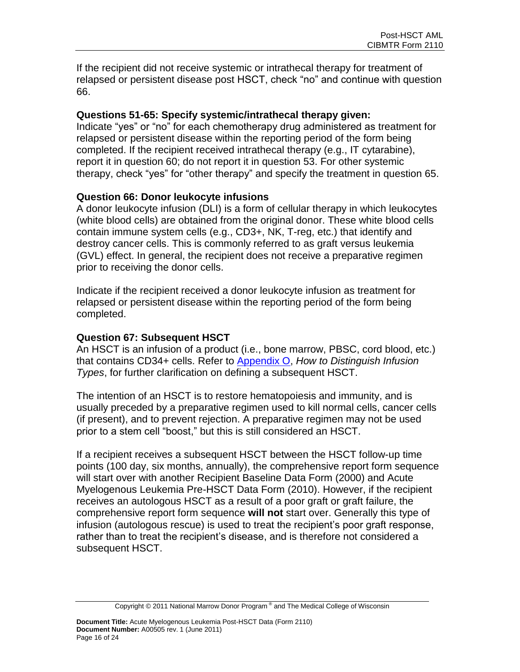If the recipient did not receive systemic or intrathecal therapy for treatment of relapsed or persistent disease post HSCT, check "no" and continue with question 66.

## **Questions 51-65: Specify systemic/intrathecal therapy given:**

Indicate "yes" or "no" for each chemotherapy drug administered as treatment for relapsed or persistent disease within the reporting period of the form being completed. If the recipient received intrathecal therapy (e.g., IT cytarabine), report it in question 60; do not report it in question 53. For other systemic therapy, check "yes" for "other therapy" and specify the treatment in question 65.

## **Question 66: Donor leukocyte infusions**

A donor leukocyte infusion (DLI) is a form of cellular therapy in which leukocytes (white blood cells) are obtained from the original donor. These white blood cells contain immune system cells (e.g., CD3+, NK, T-reg, etc.) that identify and destroy cancer cells. This is commonly referred to as graft versus leukemia (GVL) effect. In general, the recipient does not receive a preparative regimen prior to receiving the donor cells.

Indicate if the recipient received a donor leukocyte infusion as treatment for relapsed or persistent disease within the reporting period of the form being completed.

## **Question 67: Subsequent HSCT**

An HSCT is an infusion of a product (i.e., bone marrow, PBSC, cord blood, etc.) that contains CD34+ cells. Refer to [Appendix O,](http://www.cibmtr.org/DataManagement/TrainingReference/Manuals/DataManagement/Documents/appendix-o.pdf) *How to Distinguish Infusion Types*, for further clarification on defining a subsequent HSCT.

The intention of an HSCT is to restore hematopoiesis and immunity, and is usually preceded by a preparative regimen used to kill normal cells, cancer cells (if present), and to prevent rejection. A preparative regimen may not be used prior to a stem cell "boost," but this is still considered an HSCT.

If a recipient receives a subsequent HSCT between the HSCT follow-up time points (100 day, six months, annually), the comprehensive report form sequence will start over with another Recipient Baseline Data Form (2000) and Acute Myelogenous Leukemia Pre-HSCT Data Form (2010). However, if the recipient receives an autologous HSCT as a result of a poor graft or graft failure, the comprehensive report form sequence **will not** start over. Generally this type of infusion (autologous rescue) is used to treat the recipient's poor graft response, rather than to treat the recipient's disease, and is therefore not considered a subsequent HSCT.

Copyright © 2011 National Marrow Donor Program® and The Medical College of Wisconsin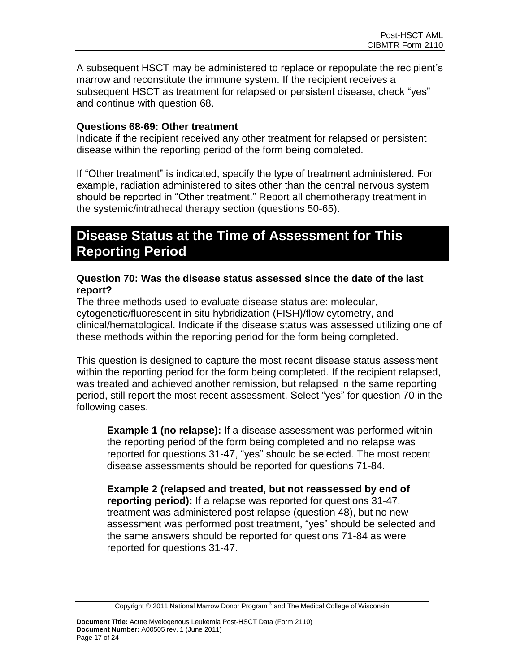A subsequent HSCT may be administered to replace or repopulate the recipient's marrow and reconstitute the immune system. If the recipient receives a subsequent HSCT as treatment for relapsed or persistent disease, check "yes" and continue with question 68.

## **Questions 68-69: Other treatment**

Indicate if the recipient received any other treatment for relapsed or persistent disease within the reporting period of the form being completed.

If "Other treatment" is indicated, specify the type of treatment administered. For example, radiation administered to sites other than the central nervous system should be reported in "Other treatment." Report all chemotherapy treatment in the systemic/intrathecal therapy section (questions 50-65).

# **Disease Status at the Time of Assessment for This Reporting Period**

#### **Question 70: Was the disease status assessed since the date of the last report?**

The three methods used to evaluate disease status are: molecular, cytogenetic/fluorescent in situ hybridization (FISH)/flow cytometry, and clinical/hematological. Indicate if the disease status was assessed utilizing one of these methods within the reporting period for the form being completed.

This question is designed to capture the most recent disease status assessment within the reporting period for the form being completed. If the recipient relapsed, was treated and achieved another remission, but relapsed in the same reporting period, still report the most recent assessment. Select "yes" for question 70 in the following cases.

**Example 1 (no relapse):** If a disease assessment was performed within the reporting period of the form being completed and no relapse was reported for questions 31-47, "yes" should be selected. The most recent disease assessments should be reported for questions 71-84.

**Example 2 (relapsed and treated, but not reassessed by end of reporting period):** If a relapse was reported for questions 31-47, treatment was administered post relapse (question 48), but no new assessment was performed post treatment, "yes" should be selected and the same answers should be reported for questions 71-84 as were reported for questions 31-47.

Copyright © 2011 National Marrow Donor Program® and The Medical College of Wisconsin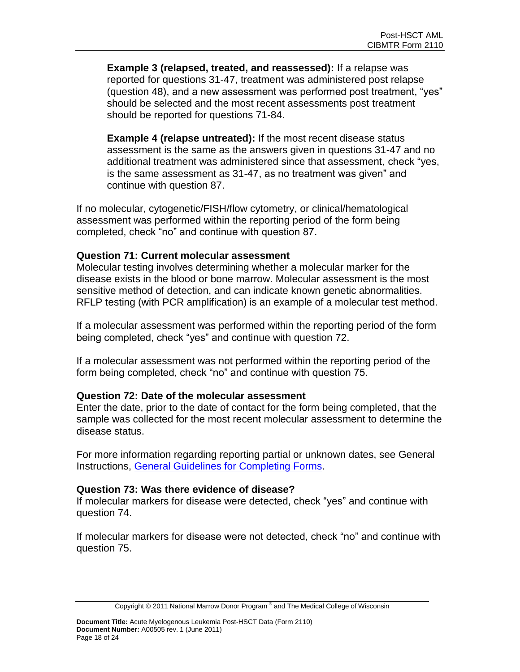**Example 3 (relapsed, treated, and reassessed):** If a relapse was reported for questions 31-47, treatment was administered post relapse (question 48), and a new assessment was performed post treatment, "yes" should be selected and the most recent assessments post treatment should be reported for questions 71-84.

**Example 4 (relapse untreated):** If the most recent disease status assessment is the same as the answers given in questions 31-47 and no additional treatment was administered since that assessment, check "yes, is the same assessment as 31-47, as no treatment was given" and continue with question 87.

If no molecular, cytogenetic/FISH/flow cytometry, or clinical/hematological assessment was performed within the reporting period of the form being completed, check "no" and continue with question 87.

#### **Question 71: Current molecular assessment**

Molecular testing involves determining whether a molecular marker for the disease exists in the blood or bone marrow. Molecular assessment is the most sensitive method of detection, and can indicate known genetic abnormalities. RFLP testing (with PCR amplification) is an example of a molecular test method.

If a molecular assessment was performed within the reporting period of the form being completed, check "yes" and continue with question 72.

If a molecular assessment was not performed within the reporting period of the form being completed, check "no" and continue with question 75.

## **Question 72: Date of the molecular assessment**

Enter the date, prior to the date of contact for the form being completed, that the sample was collected for the most recent molecular assessment to determine the disease status.

For more information regarding reporting partial or unknown dates, see General Instructions, [General Guidelines for Completing Forms.](http://www.cibmtr.org/DataManagement/TrainingReference/Manuals/DataManagement/Documents/section14.pdf)

#### **Question 73: Was there evidence of disease?**

If molecular markers for disease were detected, check "yes" and continue with question 74.

If molecular markers for disease were not detected, check "no" and continue with question 75.

Copyright © 2011 National Marrow Donor Program® and The Medical College of Wisconsin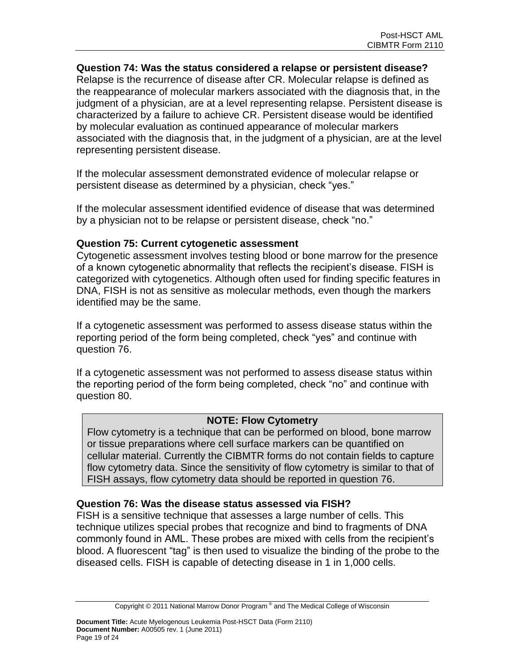#### **Question 74: Was the status considered a relapse or persistent disease?**

Relapse is the recurrence of disease after CR. Molecular relapse is defined as the reappearance of molecular markers associated with the diagnosis that, in the judgment of a physician, are at a level representing relapse. Persistent disease is characterized by a failure to achieve CR. Persistent disease would be identified by molecular evaluation as continued appearance of molecular markers associated with the diagnosis that, in the judgment of a physician, are at the level representing persistent disease.

If the molecular assessment demonstrated evidence of molecular relapse or persistent disease as determined by a physician, check "yes."

If the molecular assessment identified evidence of disease that was determined by a physician not to be relapse or persistent disease, check "no."

#### **Question 75: Current cytogenetic assessment**

Cytogenetic assessment involves testing blood or bone marrow for the presence of a known cytogenetic abnormality that reflects the recipient's disease. FISH is categorized with cytogenetics. Although often used for finding specific features in DNA, FISH is not as sensitive as molecular methods, even though the markers identified may be the same.

If a cytogenetic assessment was performed to assess disease status within the reporting period of the form being completed, check "yes" and continue with question 76.

If a cytogenetic assessment was not performed to assess disease status within the reporting period of the form being completed, check "no" and continue with question 80.

## **NOTE: Flow Cytometry**

Flow cytometry is a technique that can be performed on blood, bone marrow or tissue preparations where cell surface markers can be quantified on cellular material. Currently the CIBMTR forms do not contain fields to capture flow cytometry data. Since the sensitivity of flow cytometry is similar to that of FISH assays, flow cytometry data should be reported in question 76.

#### **Question 76: Was the disease status assessed via FISH?**

FISH is a sensitive technique that assesses a large number of cells. This technique utilizes special probes that recognize and bind to fragments of DNA commonly found in AML. These probes are mixed with cells from the recipient's blood. A fluorescent "tag" is then used to visualize the binding of the probe to the diseased cells. FISH is capable of detecting disease in 1 in 1,000 cells.

Copyright © 2011 National Marrow Donor Program® and The Medical College of Wisconsin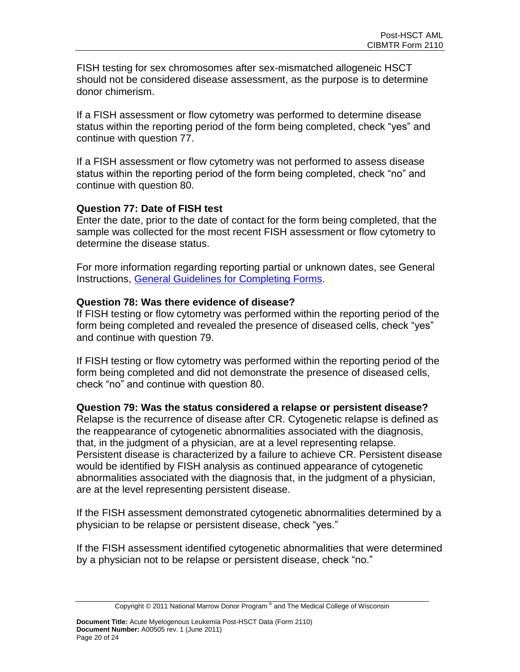FISH testing for sex chromosomes after sex-mismatched allogeneic HSCT should not be considered disease assessment, as the purpose is to determine donor chimerism.

If a FISH assessment or flow cytometry was performed to determine disease status within the reporting period of the form being completed, check "yes" and continue with question 77.

If a FISH assessment or flow cytometry was not performed to assess disease status within the reporting period of the form being completed, check "no" and continue with question 80.

## **Question 77: Date of FISH test**

Enter the date, prior to the date of contact for the form being completed, that the sample was collected for the most recent FISH assessment or flow cytometry to determine the disease status.

For more information regarding reporting partial or unknown dates, see General Instructions, [General Guidelines for Completing Forms.](http://www.cibmtr.org/DataManagement/TrainingReference/Manuals/DataManagement/Documents/section14.pdf)

## **Question 78: Was there evidence of disease?**

If FISH testing or flow cytometry was performed within the reporting period of the form being completed and revealed the presence of diseased cells, check "yes" and continue with question 79.

If FISH testing or flow cytometry was performed within the reporting period of the form being completed and did not demonstrate the presence of diseased cells, check "no" and continue with question 80.

# **Question 79: Was the status considered a relapse or persistent disease?**

Relapse is the recurrence of disease after CR. Cytogenetic relapse is defined as the reappearance of cytogenetic abnormalities associated with the diagnosis, that, in the judgment of a physician, are at a level representing relapse. Persistent disease is characterized by a failure to achieve CR. Persistent disease would be identified by FISH analysis as continued appearance of cytogenetic abnormalities associated with the diagnosis that, in the judgment of a physician, are at the level representing persistent disease.

If the FISH assessment demonstrated cytogenetic abnormalities determined by a physician to be relapse or persistent disease, check "yes."

If the FISH assessment identified cytogenetic abnormalities that were determined by a physician not to be relapse or persistent disease, check "no."

Copyright © 2011 National Marrow Donor Program® and The Medical College of Wisconsin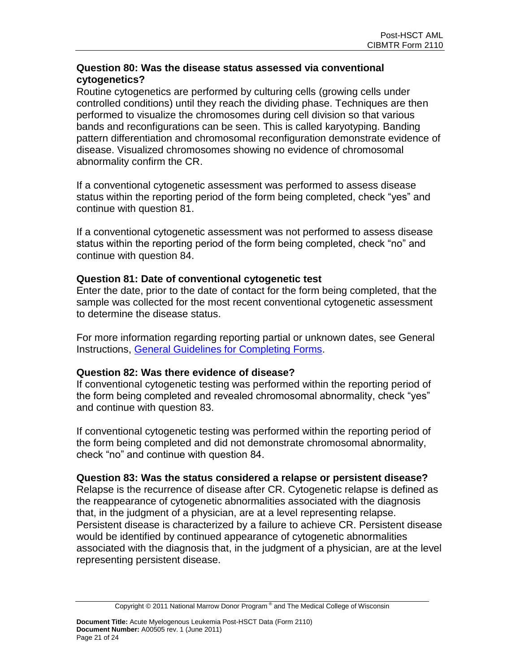## **Question 80: Was the disease status assessed via conventional cytogenetics?**

Routine cytogenetics are performed by culturing cells (growing cells under controlled conditions) until they reach the dividing phase. Techniques are then performed to visualize the chromosomes during cell division so that various bands and reconfigurations can be seen. This is called karyotyping. Banding pattern differentiation and chromosomal reconfiguration demonstrate evidence of disease. Visualized chromosomes showing no evidence of chromosomal abnormality confirm the CR.

If a conventional cytogenetic assessment was performed to assess disease status within the reporting period of the form being completed, check "yes" and continue with question 81.

If a conventional cytogenetic assessment was not performed to assess disease status within the reporting period of the form being completed, check "no" and continue with question 84.

## **Question 81: Date of conventional cytogenetic test**

Enter the date, prior to the date of contact for the form being completed, that the sample was collected for the most recent conventional cytogenetic assessment to determine the disease status.

For more information regarding reporting partial or unknown dates, see General Instructions, [General Guidelines for Completing Forms.](http://www.cibmtr.org/DataManagement/TrainingReference/Manuals/DataManagement/Documents/section14.pdf)

## **Question 82: Was there evidence of disease?**

If conventional cytogenetic testing was performed within the reporting period of the form being completed and revealed chromosomal abnormality, check "yes" and continue with question 83.

If conventional cytogenetic testing was performed within the reporting period of the form being completed and did not demonstrate chromosomal abnormality, check "no" and continue with question 84.

#### **Question 83: Was the status considered a relapse or persistent disease?**

Relapse is the recurrence of disease after CR. Cytogenetic relapse is defined as the reappearance of cytogenetic abnormalities associated with the diagnosis that, in the judgment of a physician, are at a level representing relapse. Persistent disease is characterized by a failure to achieve CR. Persistent disease would be identified by continued appearance of cytogenetic abnormalities associated with the diagnosis that, in the judgment of a physician, are at the level representing persistent disease.

Copyright © 2011 National Marrow Donor Program® and The Medical College of Wisconsin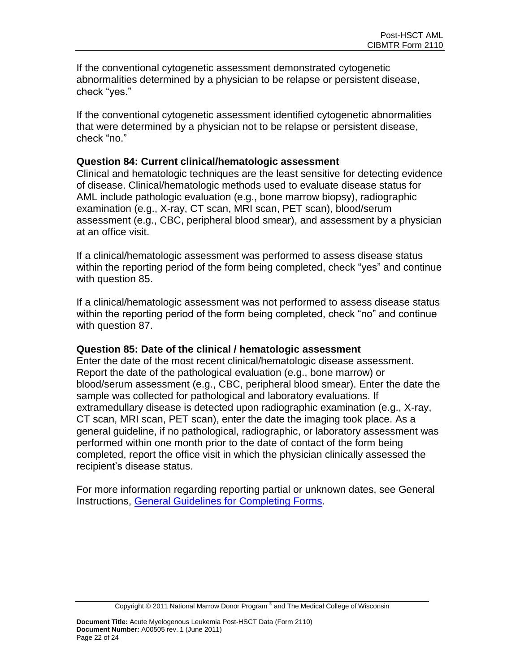If the conventional cytogenetic assessment demonstrated cytogenetic abnormalities determined by a physician to be relapse or persistent disease, check "yes."

If the conventional cytogenetic assessment identified cytogenetic abnormalities that were determined by a physician not to be relapse or persistent disease, check "no."

#### **Question 84: Current clinical/hematologic assessment**

Clinical and hematologic techniques are the least sensitive for detecting evidence of disease. Clinical/hematologic methods used to evaluate disease status for AML include pathologic evaluation (e.g., bone marrow biopsy), radiographic examination (e.g., X-ray, CT scan, MRI scan, PET scan), blood/serum assessment (e.g., CBC, peripheral blood smear), and assessment by a physician at an office visit.

If a clinical/hematologic assessment was performed to assess disease status within the reporting period of the form being completed, check "yes" and continue with question 85.

If a clinical/hematologic assessment was not performed to assess disease status within the reporting period of the form being completed, check "no" and continue with question 87.

## **Question 85: Date of the clinical / hematologic assessment**

Enter the date of the most recent clinical/hematologic disease assessment. Report the date of the pathological evaluation (e.g., bone marrow) or blood/serum assessment (e.g., CBC, peripheral blood smear). Enter the date the sample was collected for pathological and laboratory evaluations. If extramedullary disease is detected upon radiographic examination (e.g., X-ray, CT scan, MRI scan, PET scan), enter the date the imaging took place. As a general guideline, if no pathological, radiographic, or laboratory assessment was performed within one month prior to the date of contact of the form being completed, report the office visit in which the physician clinically assessed the recipient's disease status.

For more information regarding reporting partial or unknown dates, see General Instructions, [General Guidelines for Completing Forms.](http://www.cibmtr.org/DataManagement/TrainingReference/Manuals/DataManagement/Documents/section14.pdf)

Copyright © 2011 National Marrow Donor Program® and The Medical College of Wisconsin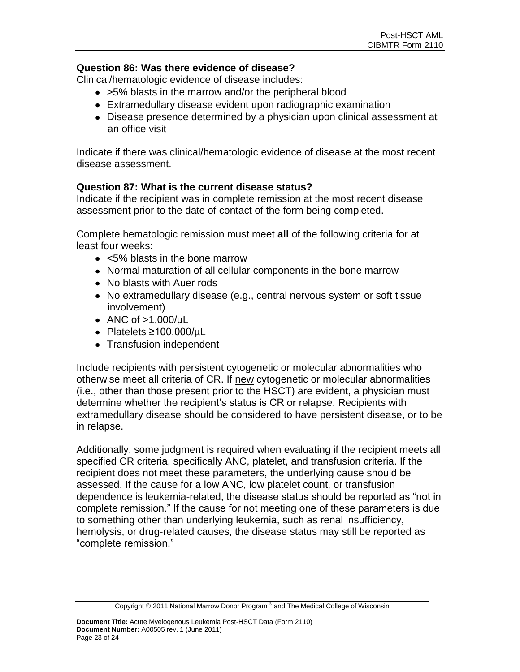## **Question 86: Was there evidence of disease?**

Clinical/hematologic evidence of disease includes:

- >5% blasts in the marrow and/or the peripheral blood
- Extramedullary disease evident upon radiographic examination
- Disease presence determined by a physician upon clinical assessment at an office visit

Indicate if there was clinical/hematologic evidence of disease at the most recent disease assessment.

## **Question 87: What is the current disease status?**

Indicate if the recipient was in complete remission at the most recent disease assessment prior to the date of contact of the form being completed.

Complete hematologic remission must meet **all** of the following criteria for at least four weeks:

- <5% blasts in the bone marrow
- Normal maturation of all cellular components in the bone marrow
- No blasts with Auer rods
- No extramedullary disease (e.g., central nervous system or soft tissue involvement)
- ANC of  $>1,000/\mu L$
- Platelets ≥100,000/µL
- Transfusion independent

Include recipients with persistent cytogenetic or molecular abnormalities who otherwise meet all criteria of CR. If new cytogenetic or molecular abnormalities (i.e., other than those present prior to the HSCT) are evident, a physician must determine whether the recipient's status is CR or relapse. Recipients with extramedullary disease should be considered to have persistent disease, or to be in relapse.

Additionally, some judgment is required when evaluating if the recipient meets all specified CR criteria, specifically ANC, platelet, and transfusion criteria. If the recipient does not meet these parameters, the underlying cause should be assessed. If the cause for a low ANC, low platelet count, or transfusion dependence is leukemia-related, the disease status should be reported as "not in complete remission." If the cause for not meeting one of these parameters is due to something other than underlying leukemia, such as renal insufficiency, hemolysis, or drug-related causes, the disease status may still be reported as "complete remission."

Copyright © 2011 National Marrow Donor Program® and The Medical College of Wisconsin